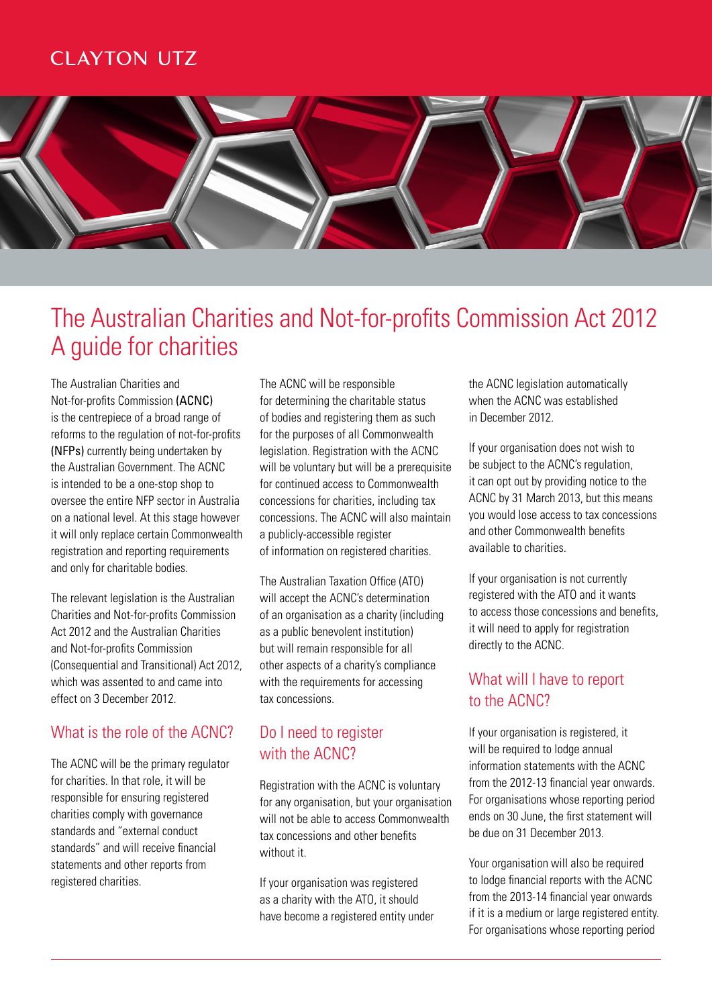## **CLAYTON UTZ**



## The Australian Charities and Not-for-profits Commission Act 2012 A guide for charities

The Australian Charities and Not-for-profits Commission (ACNC) is the centrepiece of a broad range of reforms to the regulation of not-for-profits (NFPs) currently being undertaken by the Australian Government. The ACNC is intended to be a one-stop shop to oversee the entire NFP sector in Australia on a national level. At this stage however it will only replace certain Commonwealth registration and reporting requirements and only for charitable bodies.

The relevant legislation is the Australian Charities and Not-for-profits Commission Act 2012 and the Australian Charities and Not-for-profits Commission (Consequential and Transitional) Act 2012, which was assented to and came into effect on 3 December 2012.

## What is the role of the ACNC?

The ACNC will be the primary regulator for charities. In that role, it will be responsible for ensuring registered charities comply with governance standards and "external conduct standards" and will receive financial statements and other reports from registered charities.

The ACNC will be responsible for determining the charitable status of bodies and registering them as such for the purposes of all Commonwealth legislation. Registration with the ACNC will be voluntary but will be a prerequisite for continued access to Commonwealth concessions for charities, including tax concessions. The ACNC will also maintain a publicly-accessible register of information on registered charities.

The Australian Taxation Office (ATO) will accept the ACNC's determination of an organisation as a charity (including as a public benevolent institution) but will remain responsible for all other aspects of a charity's compliance with the requirements for accessing tax concessions.

## Do I need to register with the ACNC?

Registration with the ACNC is voluntary for any organisation, but your organisation will not be able to access Commonwealth tax concessions and other benefits without it.

If your organisation was registered as a charity with the ATO, it should have become a registered entity under the ACNC legislation automatically when the ACNC was established in December 2012.

If your organisation does not wish to be subject to the ACNC's regulation, it can opt out by providing notice to the ACNC by 31 March 2013, but this means you would lose access to tax concessions and other Commonwealth benefits available to charities.

If your organisation is not currently registered with the ATO and it wants to access those concessions and benefits, it will need to apply for registration directly to the ACNC.

## What will I have to report to the ACNC?

If your organisation is registered, it will be required to lodge annual information statements with the ACNC from the 2012-13 financial year onwards. For organisations whose reporting period ends on 30 June, the first statement will be due on 31 December 2013.

Your organisation will also be required to lodge financial reports with the ACNC from the 2013-14 financial year onwards if it is a medium or large registered entity. For organisations whose reporting period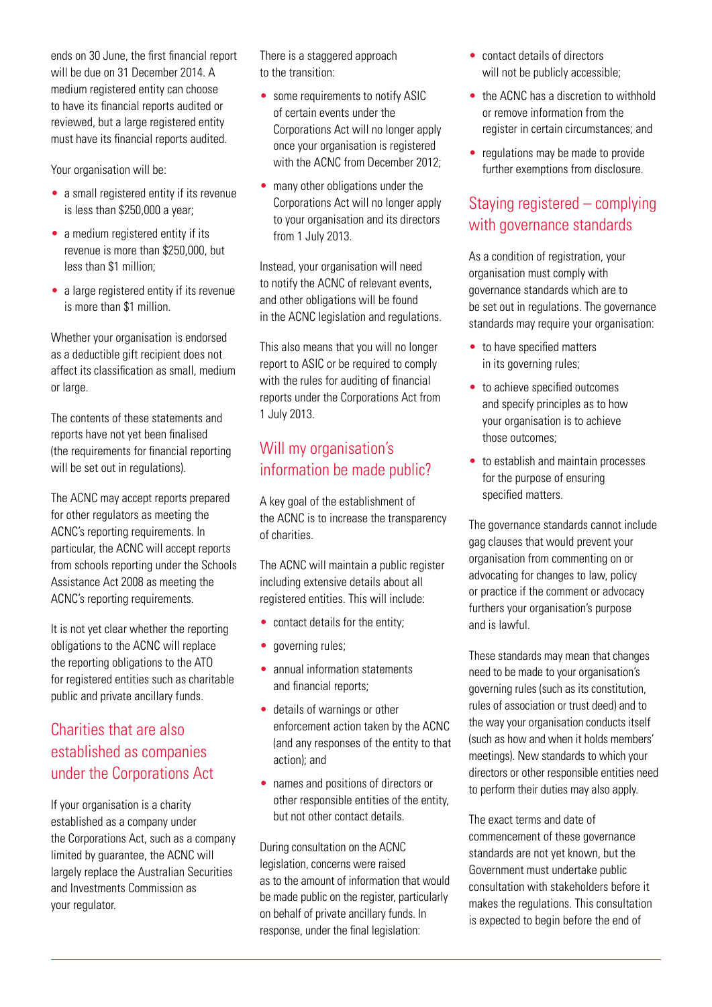ends on 30 June, the first financial report will be due on 31 December 2014. A medium registered entity can choose to have its financial reports audited or reviewed, but a large registered entity must have its financial reports audited.

Your organisation will be:

- a small registered entity if its revenue is less than \$250,000 a year;
- a medium registered entity if its revenue is more than \$250,000, but less than \$1 million;
- a large registered entity if its revenue is more than \$1 million.

Whether your organisation is endorsed as a deductible gift recipient does not affect its classification as small, medium or large.

The contents of these statements and reports have not yet been finalised (the requirements for financial reporting will be set out in regulations).

The ACNC may accept reports prepared for other regulators as meeting the ACNC's reporting requirements. In particular, the ACNC will accept reports from schools reporting under the Schools Assistance Act 2008 as meeting the ACNC's reporting requirements.

It is not yet clear whether the reporting obligations to the ACNC will replace the reporting obligations to the ATO for registered entities such as charitable public and private ancillary funds.

## Charities that are also established as companies under the Corporations Act

If your organisation is a charity established as a company under the Corporations Act, such as a company limited by guarantee, the ACNC will largely replace the Australian Securities and Investments Commission as your regulator.

There is a staggered approach to the transition:

- some requirements to notify ASIC of certain events under the Corporations Act will no longer apply once your organisation is registered with the ACNC from December 2012;
- many other obligations under the Corporations Act will no longer apply to your organisation and its directors from 1 July 2013.

Instead, your organisation will need to notify the ACNC of relevant events, and other obligations will be found in the ACNC legislation and regulations.

This also means that you will no longer report to ASIC or be required to comply with the rules for auditing of financial reports under the Corporations Act from 1 July 2013.

## Will my organisation's information be made public?

A key goal of the establishment of the ACNC is to increase the transparency of charities.

The ACNC will maintain a public register including extensive details about all registered entities. This will include:

- contact details for the entity;
- governing rules;
- annual information statements and financial reports;
- details of warnings or other enforcement action taken by the ACNC (and any responses of the entity to that action); and
- names and positions of directors or other responsible entities of the entity, but not other contact details.

During consultation on the ACNC legislation, concerns were raised as to the amount of information that would be made public on the register, particularly on behalf of private ancillary funds. In response, under the final legislation:

- contact details of directors will not be publicly accessible;
- the ACNC has a discretion to withhold or remove information from the register in certain circumstances; and
- regulations may be made to provide further exemptions from disclosure.

## Staying registered – complying with governance standards

As a condition of registration, your organisation must comply with governance standards which are to be set out in regulations. The governance standards may require your organisation:

- to have specified matters in its governing rules;
- to achieve specified outcomes and specify principles as to how your organisation is to achieve those outcomes;
- to establish and maintain processes for the purpose of ensuring specified matters.

The governance standards cannot include gag clauses that would prevent your organisation from commenting on or advocating for changes to law, policy or practice if the comment or advocacy furthers your organisation's purpose and is lawful.

These standards may mean that changes need to be made to your organisation's governing rules (such as its constitution, rules of association or trust deed) and to the way your organisation conducts itself (such as how and when it holds members' meetings). New standards to which your directors or other responsible entities need to perform their duties may also apply.

The exact terms and date of commencement of these governance standards are not yet known, but the Government must undertake public consultation with stakeholders before it makes the regulations. This consultation is expected to begin before the end of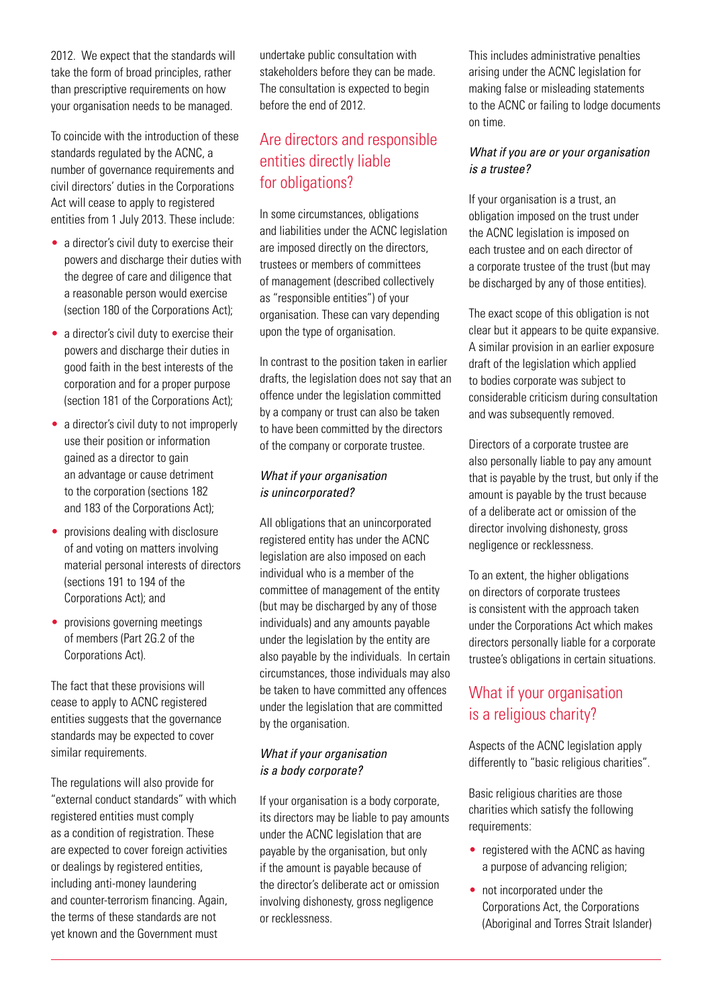2012. We expect that the standards will take the form of broad principles, rather than prescriptive requirements on how your organisation needs to be managed.

To coincide with the introduction of these standards regulated by the ACNC, a number of governance requirements and civil directors' duties in the Corporations Act will cease to apply to registered entities from 1 July 2013. These include:

- a director's civil duty to exercise their powers and discharge their duties with the degree of care and diligence that a reasonable person would exercise (section 180 of the Corporations Act);
- a director's civil duty to exercise their powers and discharge their duties in good faith in the best interests of the corporation and for a proper purpose (section 181 of the Corporations Act);
- a director's civil duty to not improperly use their position or information gained as a director to gain an advantage or cause detriment to the corporation (sections 182 and 183 of the Corporations Act);
- provisions dealing with disclosure of and voting on matters involving material personal interests of directors (sections 191 to 194 of the Corporations Act); and
- provisions governing meetings of members (Part 2G.2 of the Corporations Act).

The fact that these provisions will cease to apply to ACNC registered entities suggests that the governance standards may be expected to cover similar requirements.

The regulations will also provide for "external conduct standards" with which registered entities must comply as a condition of registration. These are expected to cover foreign activities or dealings by registered entities, including anti-money laundering and counter-terrorism financing. Again, the terms of these standards are not yet known and the Government must

undertake public consultation with stakeholders before they can be made. The consultation is expected to begin before the end of 2012.

## Are directors and responsible entities directly liable for obligations?

In some circumstances, obligations and liabilities under the ACNC legislation are imposed directly on the directors, trustees or members of committees of management (described collectively as "responsible entities") of your organisation. These can vary depending upon the type of organisation.

In contrast to the position taken in earlier drafts, the legislation does not say that an offence under the legislation committed by a company or trust can also be taken to have been committed by the directors of the company or corporate trustee.

#### What if your organisation is unincorporated?

All obligations that an unincorporated registered entity has under the ACNC legislation are also imposed on each individual who is a member of the committee of management of the entity (but may be discharged by any of those individuals) and any amounts payable under the legislation by the entity are also payable by the individuals. In certain circumstances, those individuals may also be taken to have committed any offences under the legislation that are committed by the organisation.

#### What if your organisation is a body corporate?

If your organisation is a body corporate, its directors may be liable to pay amounts under the ACNC legislation that are payable by the organisation, but only if the amount is payable because of the director's deliberate act or omission involving dishonesty, gross negligence or recklessness.

This includes administrative penalties arising under the ACNC legislation for making false or misleading statements to the ACNC or failing to lodge documents on time.

#### What if you are or your organisation is a trustee?

If your organisation is a trust, an obligation imposed on the trust under the ACNC legislation is imposed on each trustee and on each director of a corporate trustee of the trust (but may be discharged by any of those entities).

The exact scope of this obligation is not clear but it appears to be quite expansive. A similar provision in an earlier exposure draft of the legislation which applied to bodies corporate was subject to considerable criticism during consultation and was subsequently removed.

Directors of a corporate trustee are also personally liable to pay any amount that is payable by the trust, but only if the amount is payable by the trust because of a deliberate act or omission of the director involving dishonesty, gross negligence or recklessness.

To an extent, the higher obligations on directors of corporate trustees is consistent with the approach taken under the Corporations Act which makes directors personally liable for a corporate trustee's obligations in certain situations.

## What if your organisation is a religious charity?

Aspects of the ACNC legislation apply differently to "basic religious charities".

Basic religious charities are those charities which satisfy the following requirements:

- registered with the ACNC as having a purpose of advancing religion;
- not incorporated under the Corporations Act, the Corporations (Aboriginal and Torres Strait Islander)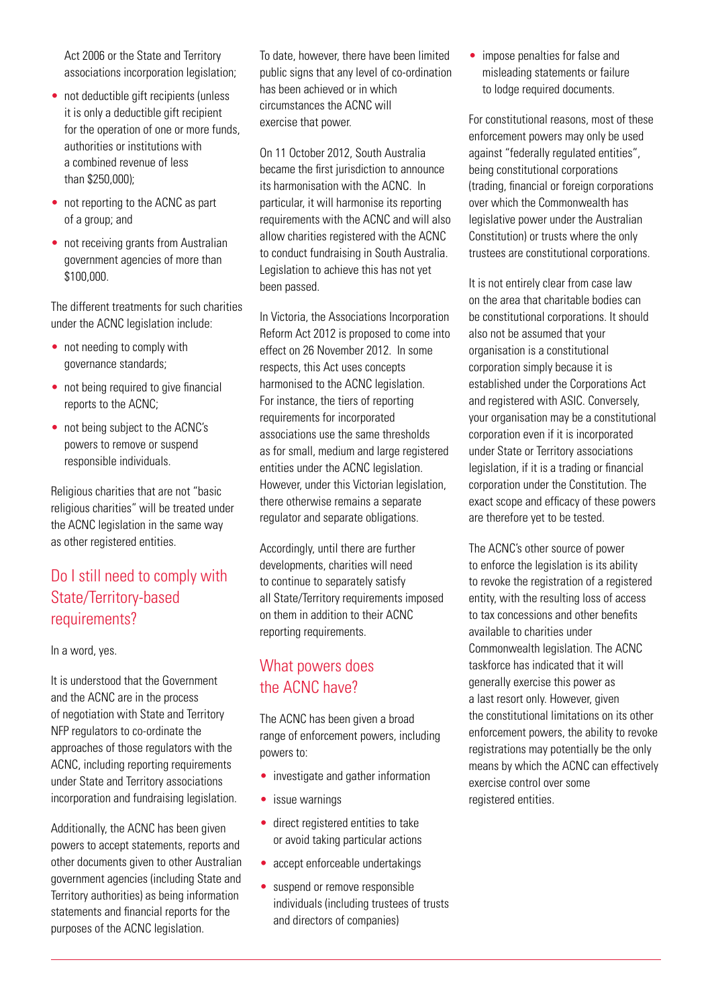Act 2006 or the State and Territory associations incorporation legislation;

- not deductible gift recipients (unless it is only a deductible gift recipient for the operation of one or more funds, authorities or institutions with a combined revenue of less than \$250,000);
- not reporting to the ACNC as part of a group; and
- not receiving grants from Australian government agencies of more than \$100,000.

The different treatments for such charities under the ACNC legislation include:

- not needing to comply with governance standards;
- not being required to give financial reports to the ACNC;
- not being subject to the ACNC's powers to remove or suspend responsible individuals.

Religious charities that are not "basic religious charities" will be treated under the ACNC legislation in the same way as other registered entities.

## Do I still need to comply with State/Territory-based requirements?

In a word, yes.

It is understood that the Government and the ACNC are in the process of negotiation with State and Territory NFP regulators to co-ordinate the approaches of those regulators with the ACNC, including reporting requirements under State and Territory associations incorporation and fundraising legislation.

Additionally, the ACNC has been given powers to accept statements, reports and other documents given to other Australian government agencies (including State and Territory authorities) as being information statements and financial reports for the purposes of the ACNC legislation.

To date, however, there have been limited public signs that any level of co-ordination has been achieved or in which circumstances the ACNC will exercise that power.

On 11 October 2012, South Australia became the first jurisdiction to announce its harmonisation with the ACNC. In particular, it will harmonise its reporting requirements with the ACNC and will also allow charities registered with the ACNC to conduct fundraising in South Australia. Legislation to achieve this has not yet been passed.

In Victoria, the Associations Incorporation Reform Act 2012 is proposed to come into effect on 26 November 2012. In some respects, this Act uses concepts harmonised to the ACNC legislation. For instance, the tiers of reporting requirements for incorporated associations use the same thresholds as for small, medium and large registered entities under the ACNC legislation. However, under this Victorian legislation, there otherwise remains a separate regulator and separate obligations.

Accordingly, until there are further developments, charities will need to continue to separately satisfy all State/Territory requirements imposed on them in addition to their ACNC reporting requirements.

## What powers does the ACNC have?

The ACNC has been given a broad range of enforcement powers, including powers to:

- investigate and gather information
- issue warnings
- direct registered entities to take or avoid taking particular actions
- accept enforceable undertakings
- suspend or remove responsible individuals (including trustees of trusts and directors of companies)

• impose penalties for false and misleading statements or failure to lodge required documents.

For constitutional reasons, most of these enforcement powers may only be used against "federally regulated entities", being constitutional corporations (trading, financial or foreign corporations over which the Commonwealth has legislative power under the Australian Constitution) or trusts where the only trustees are constitutional corporations.

It is not entirely clear from case law on the area that charitable bodies can be constitutional corporations. It should also not be assumed that your organisation is a constitutional corporation simply because it is established under the Corporations Act and registered with ASIC. Conversely, your organisation may be a constitutional corporation even if it is incorporated under State or Territory associations legislation, if it is a trading or financial corporation under the Constitution. The exact scope and efficacy of these powers are therefore yet to be tested.

The ACNC's other source of power to enforce the legislation is its ability to revoke the registration of a registered entity, with the resulting loss of access to tax concessions and other benefits available to charities under Commonwealth legislation. The ACNC taskforce has indicated that it will generally exercise this power as a last resort only. However, given the constitutional limitations on its other enforcement powers, the ability to revoke registrations may potentially be the only means by which the ACNC can effectively exercise control over some registered entities.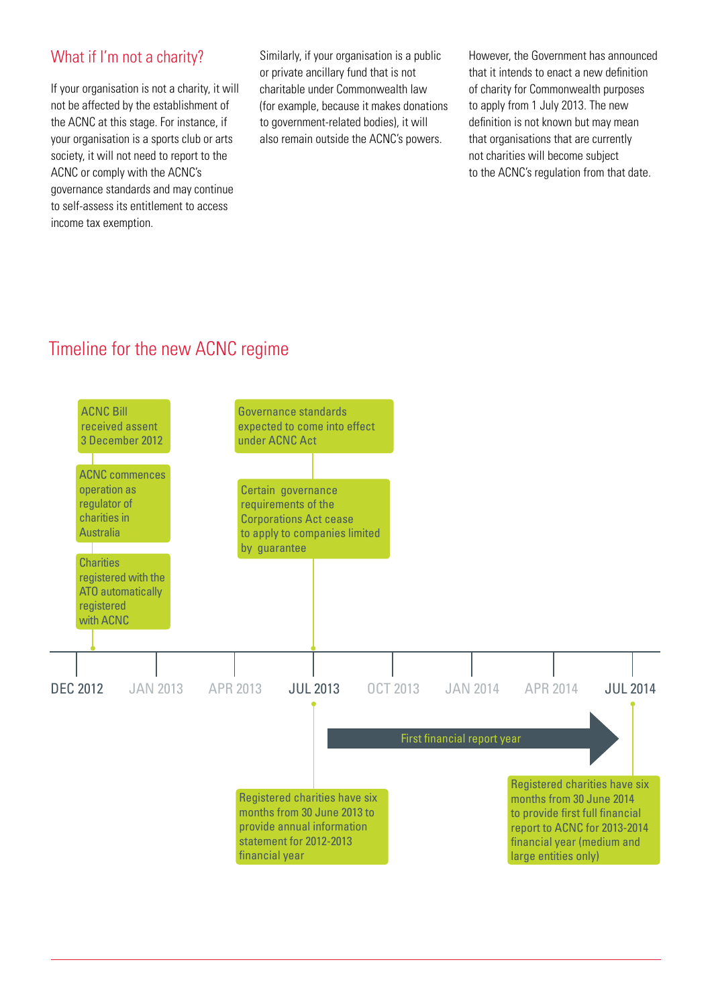### What if I'm not a charity?

If your organisation is not a charity, it will not be affected by the establishment of the ACNC at this stage. For instance, if your organisation is a sports club or arts society, it will not need to report to the ACNC or comply with the ACNC's governance standards and may continue to self-assess its entitlement to access income tax exemption.

Similarly, if your organisation is a public or private ancillary fund that is not charitable under Commonwealth law (for example, because it makes donations to government-related bodies), it will also remain outside the ACNC's powers.

However, the Government has announced that it intends to enact a new definition of charity for Commonwealth purposes to apply from 1 July 2013. The new definition is not known but may mean that organisations that are currently not charities will become subject to the ACNC's regulation from that date.

## Timeline for the new ACNC regime